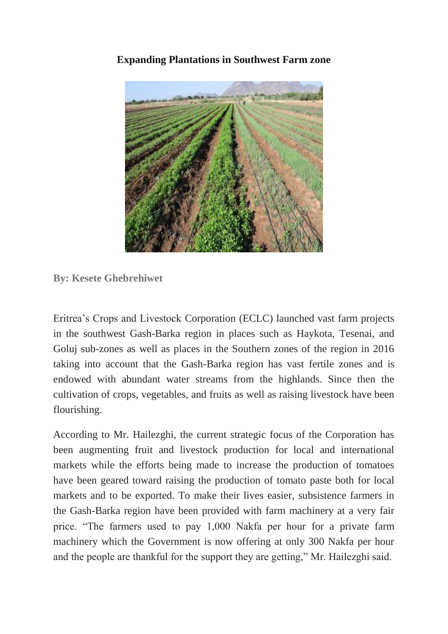**Expanding Plantations in Southwest Farm zone**



**By: Kesete Ghebrehiwet**

Eritrea's Crops and Livestock Corporation (ECLC) launched vast farm projects in the southwest Gash-Barka region in places such as Haykota, Tesenai, and Goluj sub-zones as well as places in the Southern zones of the region in 2016 taking into account that the Gash-Barka region has vast fertile zones and is endowed with abundant water streams from the highlands. Since then the cultivation of crops, vegetables, and fruits as well as raising livestock have been flourishing.

According to Mr. Hailezghi, the current strategic focus of the Corporation has been augmenting fruit and livestock production for local and international markets while the efforts being made to increase the production of tomatoes have been geared toward raising the production of tomato paste both for local markets and to be exported. To make their lives easier, subsistence farmers in the Gash-Barka region have been provided with farm machinery at a very fair price. "The farmers used to pay 1,000 Nakfa per hour for a private farm machinery which the Government is now offering at only 300 Nakfa per hour and the people are thankful for the support they are getting," Mr. Hailezghi said.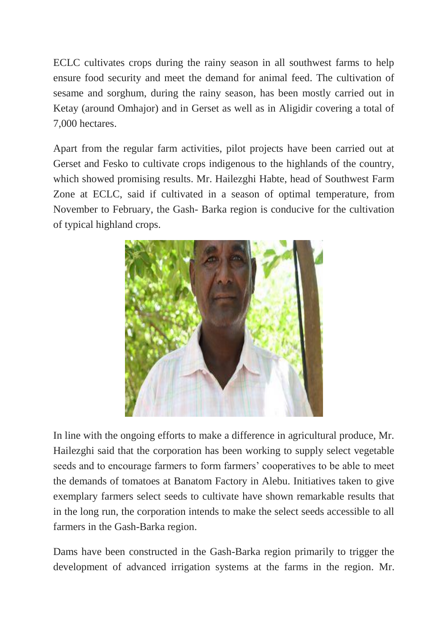ECLC cultivates crops during the rainy season in all southwest farms to help ensure food security and meet the demand for animal feed. The cultivation of sesame and sorghum, during the rainy season, has been mostly carried out in Ketay (around Omhajor) and in Gerset as well as in Aligidir covering a total of 7,000 hectares.

Apart from the regular farm activities, pilot projects have been carried out at Gerset and Fesko to cultivate crops indigenous to the highlands of the country, which showed promising results. Mr. Hailezghi Habte, head of Southwest Farm Zone at ECLC, said if cultivated in a season of optimal temperature, from November to February, the Gash- Barka region is conducive for the cultivation of typical highland crops.



In line with the ongoing efforts to make a difference in agricultural produce, Mr. Hailezghi said that the corporation has been working to supply select vegetable seeds and to encourage farmers to form farmers' cooperatives to be able to meet the demands of tomatoes at Banatom Factory in Alebu. Initiatives taken to give exemplary farmers select seeds to cultivate have shown remarkable results that in the long run, the corporation intends to make the select seeds accessible to all farmers in the Gash-Barka region.

Dams have been constructed in the Gash-Barka region primarily to trigger the development of advanced irrigation systems at the farms in the region. Mr.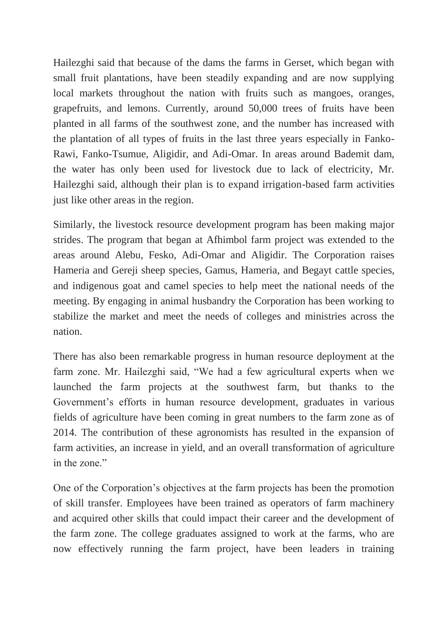Hailezghi said that because of the dams the farms in Gerset, which began with small fruit plantations, have been steadily expanding and are now supplying local markets throughout the nation with fruits such as mangoes, oranges, grapefruits, and lemons. Currently, around 50,000 trees of fruits have been planted in all farms of the southwest zone, and the number has increased with the plantation of all types of fruits in the last three years especially in Fanko-Rawi, Fanko-Tsumue, Aligidir, and Adi-Omar. In areas around Bademit dam, the water has only been used for livestock due to lack of electricity, Mr. Hailezghi said, although their plan is to expand irrigation-based farm activities just like other areas in the region.

Similarly, the livestock resource development program has been making major strides. The program that began at Afhimbol farm project was extended to the areas around Alebu, Fesko, Adi-Omar and Aligidir. The Corporation raises Hameria and Gereji sheep species, Gamus, Hameria, and Begayt cattle species, and indigenous goat and camel species to help meet the national needs of the meeting. By engaging in animal husbandry the Corporation has been working to stabilize the market and meet the needs of colleges and ministries across the nation.

There has also been remarkable progress in human resource deployment at the farm zone. Mr. Hailezghi said, "We had a few agricultural experts when we launched the farm projects at the southwest farm, but thanks to the Government's efforts in human resource development, graduates in various fields of agriculture have been coming in great numbers to the farm zone as of 2014. The contribution of these agronomists has resulted in the expansion of farm activities, an increase in yield, and an overall transformation of agriculture in the zone."

One of the Corporation's objectives at the farm projects has been the promotion of skill transfer. Employees have been trained as operators of farm machinery and acquired other skills that could impact their career and the development of the farm zone. The college graduates assigned to work at the farms, who are now effectively running the farm project, have been leaders in training